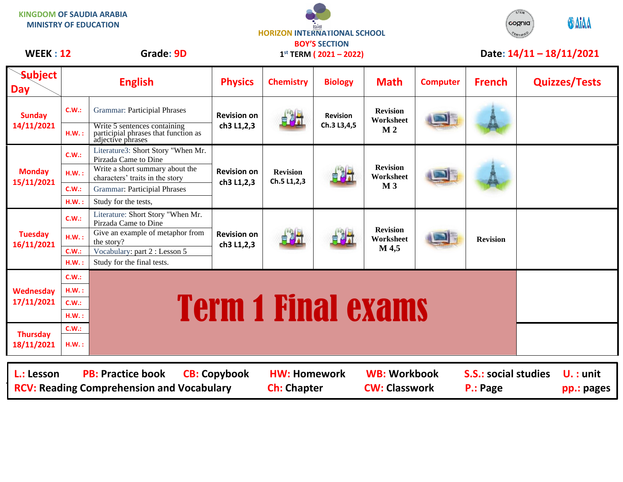| <b>KINGDOM OF SAUDIA ARABIA</b><br><b>MINISTRY OF EDUCATION</b>                                                                                                                                                                                          |                |                                                                                           | <b>HORIZON INTERNATIONAL SCHOOL</b><br><b>BOY'S SECTION</b> |                                |                                |                                                |                 | STEM<br><b>ODAIAA</b><br>cognia |                           |                      |
|----------------------------------------------------------------------------------------------------------------------------------------------------------------------------------------------------------------------------------------------------------|----------------|-------------------------------------------------------------------------------------------|-------------------------------------------------------------|--------------------------------|--------------------------------|------------------------------------------------|-----------------|---------------------------------|---------------------------|----------------------|
| <b>WEEK: 12</b>                                                                                                                                                                                                                                          |                | Grade: 9D                                                                                 | $1^{st}$ TERM ( 2021 – 2022)                                |                                |                                |                                                |                 | Date: 14/11-18/11/2021          |                           |                      |
| <b>Subject</b><br><b>Day</b>                                                                                                                                                                                                                             |                | <b>English</b>                                                                            | <b>Physics</b>                                              | <b>Chemistry</b>               | <b>Biology</b>                 | <b>Math</b>                                    | <b>Computer</b> | <b>French</b>                   |                           | <b>Quizzes/Tests</b> |
| <b>Sunday</b><br>14/11/2021                                                                                                                                                                                                                              | C.W.:          | <b>Grammar: Participial Phrases</b>                                                       | <b>Revision on</b><br>ch3 L1,2,3                            |                                | <b>Revision</b><br>Ch.3 L3,4,5 | <b>Revision</b><br>Worksheet<br>M <sub>2</sub> |                 |                                 |                           |                      |
|                                                                                                                                                                                                                                                          | H.W.:          | Write 5 sentences containing<br>participial phrases that function as<br>adjective phrases |                                                             |                                |                                |                                                |                 |                                 |                           |                      |
| <b>Monday</b><br>15/11/2021                                                                                                                                                                                                                              | C.W.:          | Literature3: Short Story "When Mr.<br>Pirzada Came to Dine                                | <b>Revision on</b><br>ch3 L1,2,3                            | <b>Revision</b><br>Ch.5 L1,2,3 |                                | <b>Revision</b><br>Worksheet<br>M <sub>3</sub> |                 |                                 |                           |                      |
|                                                                                                                                                                                                                                                          | H.W.:          | Write a short summary about the<br>characters' traits in the story                        |                                                             |                                |                                |                                                |                 |                                 |                           |                      |
|                                                                                                                                                                                                                                                          | C.W.:          | <b>Grammar: Participial Phrases</b>                                                       |                                                             |                                |                                |                                                |                 |                                 |                           |                      |
|                                                                                                                                                                                                                                                          | H.W.:          | Study for the tests,                                                                      |                                                             |                                |                                |                                                |                 |                                 |                           |                      |
| <b>Tuesday</b><br>16/11/2021                                                                                                                                                                                                                             | C.W.:          | Literature: Short Story "When Mr.<br>Pirzada Came to Dine                                 | <b>Revision on</b><br>ch3 L1,2,3                            | 自調式                            |                                | <b>Revision</b><br>Worksheet<br>M 4,5          |                 | <b>Revision</b>                 |                           |                      |
|                                                                                                                                                                                                                                                          | H.W.:          | Give an example of metaphor from<br>the story?                                            |                                                             |                                |                                |                                                |                 |                                 |                           |                      |
|                                                                                                                                                                                                                                                          | C.W.:          | Vocabulary: part 2 : Lesson 5                                                             |                                                             |                                |                                |                                                |                 |                                 |                           |                      |
|                                                                                                                                                                                                                                                          | H.W.:          | Study for the final tests.                                                                |                                                             |                                |                                |                                                |                 |                                 |                           |                      |
| Wednesday<br>17/11/2021                                                                                                                                                                                                                                  | C.W.:          |                                                                                           |                                                             |                                |                                |                                                |                 |                                 |                           |                      |
|                                                                                                                                                                                                                                                          | <b>H.W.:</b>   |                                                                                           |                                                             |                                |                                |                                                |                 |                                 |                           |                      |
|                                                                                                                                                                                                                                                          | C.W.:<br>H.W.: |                                                                                           |                                                             |                                |                                |                                                |                 |                                 |                           |                      |
| <b>Thursday</b><br>18/11/2021                                                                                                                                                                                                                            | C.W.:          | <b>Term 1 Final exams</b>                                                                 |                                                             |                                |                                |                                                |                 |                                 |                           |                      |
|                                                                                                                                                                                                                                                          |                |                                                                                           |                                                             |                                |                                |                                                |                 |                                 |                           |                      |
|                                                                                                                                                                                                                                                          | H.W.:          |                                                                                           |                                                             |                                |                                |                                                |                 |                                 |                           |                      |
| <b>PB: Practice book</b><br><b>WB: Workbook</b><br><b>S.S.: social studies</b><br>L.: Lesson<br><b>CB: Copybook</b><br><b>HW: Homework</b><br><b>CW: Classwork</b><br><b>RCV: Reading Comprehension and Vocabulary</b><br><b>Ch: Chapter</b><br>P.: Page |                |                                                                                           |                                                             |                                |                                |                                                |                 |                                 | $U.$ : unit<br>pp.: pages |                      |

 $\overline{\phantom{a}}$ 

STEM